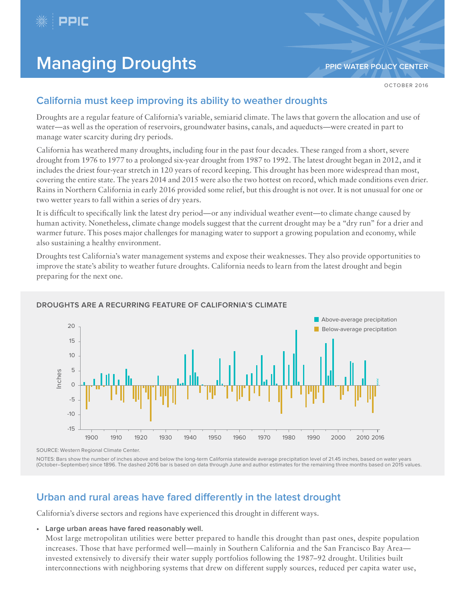

# **Managing Droughts [PPIC WATER POLICY CENTER](http://www.ppic.org/water)**

# **California must keep improving its ability to weather droughts**

Droughts are a regular feature of California's variable, semiarid climate. The laws that govern the allocation and use of water—as well as the operation of reservoirs, groundwater basins, canals, and aqueducts—were created in part to manage water scarcity during dry periods.

California has weathered many droughts, including four in the past four decades. These ranged from a short, severe drought from 1976 to 1977 to a prolonged six-year drought from 1987 to 1992. The latest drought began in 2012, and it includes the driest four-year stretch in 120 years of record keeping. This drought has been more widespread than most, covering the entire state. The years 2014 and 2015 were also the two hottest on record, which made conditions even drier. Rains in Northern California in early 2016 provided some relief, but this drought is not over. It is not unusual for one or two wetter years to fall within a series of dry years.

It is difficult to specifically link the latest dry period—or any individual weather event—to climate change caused by human activity. Nonetheless, climate change models suggest that the current drought may be a "dry run" for a drier and warmer future. This poses major challenges for managing water to support a growing population and economy, while also sustaining a healthy environment.

Droughts test California's water management systems and expose their weaknesses. They also provide opportunities to improve the state's ability to weather future droughts. California needs to learn from the latest drought and begin preparing for the next one.



## **DROUGHTS ARE A RECURRING FEATURE OF CALIFORNIA'S CLIMATE**

SOURCE: Western Regional Climate Center.

NOTES: Bars show the number of inches above and below the long-term California statewide average precipitation level of 21.45 inches, based on water years (October–September) since 1896. The dashed 2016 bar is based on data through June and author estimates for the remaining three months based on 2015 values.

# **Urban and rural areas have fared differently in the latest drought**

California's diverse sectors and regions have experienced this drought in different ways.

**• Large urban areas have fared reasonably well.**

Most large metropolitan utilities were better prepared to handle this drought than past ones, despite population increases. Those that have performed well—mainly in Southern California and the San Francisco Bay Area invested extensively to diversify their water supply portfolios following the 1987–92 drought. Utilities built interconnections with neighboring systems that drew on different supply sources, reduced per capita water use,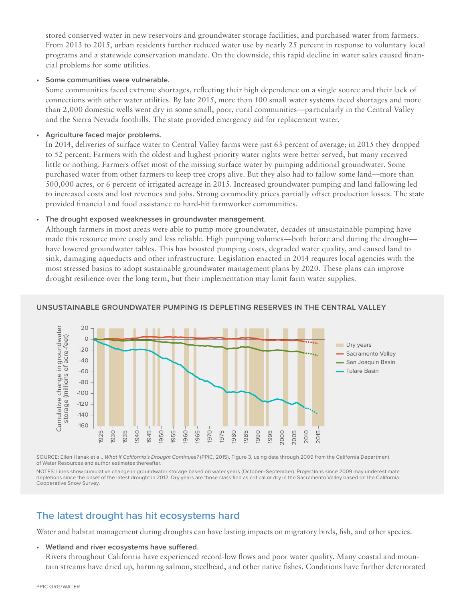stored conserved water in new reservoirs and groundwater storage facilities, and purchased water from farmers. From 2013 to 2015, urban residents further reduced water use by nearly 25 percent in response to voluntary local programs and a statewide conservation mandate. On the downside, this rapid decline in water sales caused financial problems for some utilities.

## **• Some communities were vulnerable.**

Some communities faced extreme shortages, reflecting their high dependence on a single source and their lack of connections with other water utilities. By late 2015, more than 100 small water systems faced shortages and more than 2,000 domestic wells went dry in some small, poor, rural communities—particularly in the Central Valley and the Sierra Nevada foothills. The state provided emergency aid for replacement water.

#### **• Agriculture faced major problems.**

In 2014, deliveries of surface water to Central Valley farms were just 63 percent of average; in 2015 they dropped to 52 percent. Farmers with the oldest and highest-priority water rights were better served, but many received little or nothing. Farmers offset most of the missing surface water by pumping additional groundwater. Some purchased water from other farmers to keep tree crops alive. But they also had to fallow some land—more than 500,000 acres, or 6 percent of irrigated acreage in 2015. Increased groundwater pumping and land fallowing led to increased costs and lost revenues and jobs. Strong commodity prices partially offset production losses. The state provided financial and food assistance to hard-hit farmworker communities.

## **• The drought exposed weaknesses in groundwater management.**

Although farmers in most areas were able to pump more groundwater, decades of unsustainable pumping have made this resource more costly and less reliable. High pumping volumes—both before and during the drought have lowered groundwater tables. This has boosted pumping costs, degraded water quality, and caused land to sink, damaging aqueducts and other infrastructure. Legislation enacted in 2014 requires local agencies with the most stressed basins to adopt sustainable groundwater management plans by 2020. These plans can improve drought resilience over the long term, but their implementation may limit farm water supplies.



## **UNSUSTAINABLE GROUNDWATER PUMPING IS DEPLETING RESERVES IN THE CENTRAL VALLEY**

SOURCE: Ellen Hanak et al., [What If California's Drought Continues?](http://www.ppic.org/main/publication_quick.asp?i=1160) (PPIC, 2015), Figure 3, using data through 2009 from the California Department of Water Resources and author estimates thereafter.

NOTES: Lines show cumulative change in groundwater storage based on water years (October–September). Projections since 2009 may underestimate depletions since the onset of the latest drought in 2012. Dry years are those classified as critical or dry in the Sacramento Valley based on the California Cooperative Snow Survey.

## **The latest drought has hit ecosystems hard**

Water and habitat management during droughts can have lasting impacts on migratory birds, fish, and other species.

**• Wetland and river ecosystems have suffered.**

Rivers throughout California have experienced record-low flows and poor water quality. Many coastal and mountain streams have dried up, harming salmon, steelhead, and other native fishes. Conditions have further deteriorated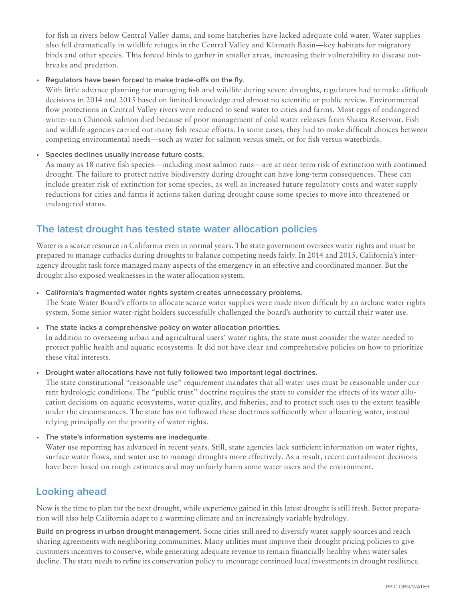for fish in rivers below Central Valley dams, and some hatcheries have lacked adequate cold water. Water supplies also fell dramatically in wildlife refuges in the Central Valley and Klamath Basin—key habitats for migratory birds and other species. This forced birds to gather in smaller areas, increasing their vulnerability to disease outbreaks and predation.

## **• Regulators have been forced to make trade-offs on the fly.**

With little advance planning for managing fish and wildlife during severe droughts, regulators had to make difficult decisions in 2014 and 2015 based on limited knowledge and almost no scientific or public review. Environmental flow protections in Central Valley rivers were reduced to send water to cities and farms. Most eggs of endangered winter-run Chinook salmon died because of poor management of cold water releases from Shasta Reservoir. Fish and wildlife agencies carried out many fish rescue efforts. In some cases, they had to make difficult choices between competing environmental needs—such as water for salmon versus smelt, or for fish versus waterbirds.

## **• Species declines usually increase future costs.**

As many as 18 native fish species—including most salmon runs—are at near-term risk of extinction with continued drought. The failure to protect native biodiversity during drought can have long-term consequences. These can include greater risk of extinction for some species, as well as increased future regulatory costs and water supply reductions for cities and farms if actions taken during drought cause some species to move into threatened or endangered status.

# **The latest drought has tested state water allocation policies**

Water is a scarce resource in California even in normal years. The state government oversees water rights and must be prepared to manage cutbacks during droughts to balance competing needs fairly. In 2014 and 2015, California's interagency drought task force managed many aspects of the emergency in an effective and coordinated manner. But the drought also exposed weaknesses in the water allocation system.

## **• California's fragmented water rights system creates unnecessary problems.**

The State Water Board's efforts to allocate scarce water supplies were made more difficult by an archaic water rights system. Some senior water-right holders successfully challenged the board's authority to curtail their water use.

## **• The state lacks a comprehensive policy on water allocation priorities.**

In addition to overseeing urban and agricultural users' water rights, the state must consider the water needed to protect public health and aquatic ecosystems. It did not have clear and comprehensive policies on how to prioritize these vital interests.

**• Drought water allocations have not fully followed two important legal doctrines.**

The state constitutional "reasonable use" requirement mandates that all water uses must be reasonable under current hydrologic conditions. The "public trust" doctrine requires the state to consider the effects of its water allocation decisions on aquatic ecosystems, water quality, and fisheries, and to protect such uses to the extent feasible under the circumstances. The state has not followed these doctrines sufficiently when allocating water, instead relying principally on the priority of water rights.

**• The state's information systems are inadequate.**

Water use reporting has advanced in recent years. Still, state agencies lack sufficient information on water rights, surface water flows, and water use to manage droughts more effectively. As a result, recent curtailment decisions have been based on rough estimates and may unfairly harm some water users and the environment.

## **Looking ahead**

Now is the time to plan for the next drought, while experience gained in this latest drought is still fresh. Better preparation will also help California adapt to a warming climate and an increasingly variable hydrology.

**Build on progress in urban drought management.** Some cities still need to diversify water supply sources and reach sharing agreements with neighboring communities. Many utilities must improve their drought pricing policies to give customers incentives to conserve, while generating adequate revenue to remain financially healthy when water sales decline. The state needs to refine its conservation policy to encourage continued local investments in drought resilience.